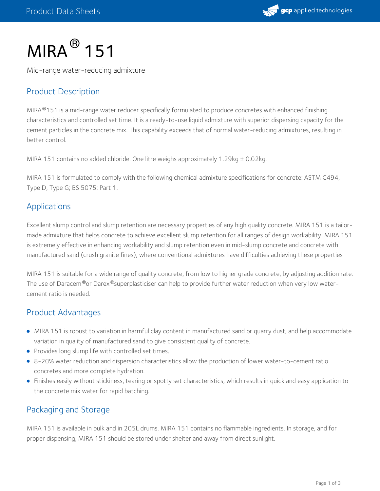

# $MIRA<sup>®</sup>$  151

Mid-range water-reducing admixture

## Product Description

MIRA®151 is a mid-range water reducer specifically formulated to produce concretes with enhanced finishing characteristics and controlled set time. It is a ready-to-use liquid admixture with superior dispersing capacity for the cement particles in the concrete mix. This capability exceeds that of normal water-reducing admixtures, resulting in better control.

MIRA 151 contains no added chloride. One litre weighs approximately 1.29kg ± 0.02kg.

MIRA 151 is formulated to comply with the following chemical admixture specifications for concrete: ASTM C494, Type D, Type G; BS 5075: Part 1.

#### Applications

Excellent slump control and slump retention are necessary properties of any high quality concrete. MIRA 151 is a tailor made admixture that helps concrete to achieve excellent slump retention for all ranges of design workability. MIRA 151 is extremely effective in enhancing workability and slump retention even in mid-slump concrete and concrete with manufactured sand (crush granite fines), where conventional admixtures have difficulties achieving these properties

MIRA 151 is suitable for a wide range of quality concrete, from low to higher grade concrete, by adjusting addition rate. The use of Daracem®or Darex®superplasticiser can help to provide further water reduction when very low watercement ratio is needed.

### Product Advantages

- MIRA 151 is robust to variation in harmful clay content in manufactured sand or quarry dust, and help accommodate variation in quality of manufactured sand to give consistent quality of concrete.
- Provides long slump life with controlled set times.
- 8-20% water reduction and dispersion characteristics allow the production of lower water-to-cement ratio concretes and more complete hydration.
- Finishes easily without stickiness, tearing or spotty set characteristics, which results in quick and easy application to the concrete mix water for rapid batching.

# Packaging and Storage

MIRA 151 is available in bulk and in 205L drums. MIRA 151 contains no flammable ingredients. In storage, and for proper dispensing, MIRA 151 should be stored under shelter and away from direct sunlight.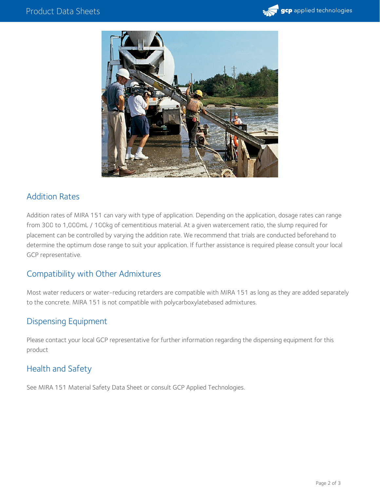



### Addition Rates

Addition rates of MIRA 151 can vary with type of application. Depending on the application, dosage rates can range from 300 to 1,000mL / 100kg of cementitious material. At a given watercement ratio, the slump required for placement can be controlled by varying the addition rate. We recommend that trials are conducted beforehand to determine the optimum dose range to suit your application. If further assistance is required please consult your local GCP representative.

### Compatibility with Other Admixtures

Most water reducers or water-reducing retarders are compatible with MIRA 151 as long as they are added separately to the concrete. MIRA 151 is not compatible with polycarboxylatebased admixtures.

### Dispensing Equipment

Please contact your local GCP representative for further information regarding the dispensing equipment for this product

### Health and Safety

See MIRA 151 Material Safety Data Sheet or consult GCP Applied Technologies.